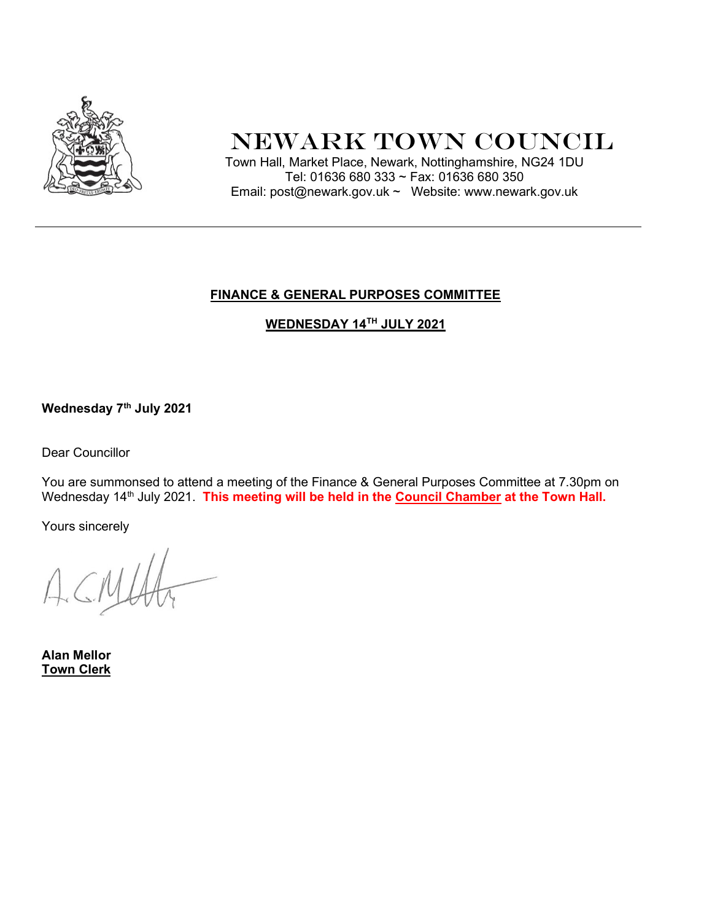

# Newark Town Council

 Town Hall, Market Place, Newark, Nottinghamshire, NG24 1DU Tel: 01636 680 333 ~ Fax: 01636 680 350 Email: post@newark.gov.uk ~ Website: www.newark.gov.uk

## FINANCE & GENERAL PURPOSES COMMITTEE

WEDNESDAY 14TH JULY 2021

Wednesday 7<sup>th</sup> July 2021

Dear Councillor

You are summonsed to attend a meeting of the Finance & General Purposes Committee at 7.30pm on Wednesday 14<sup>th</sup> July 2021. This meeting will be held in the Council Chamber at the Town Hall.

Yours sincerely

Alan Mellor Town Clerk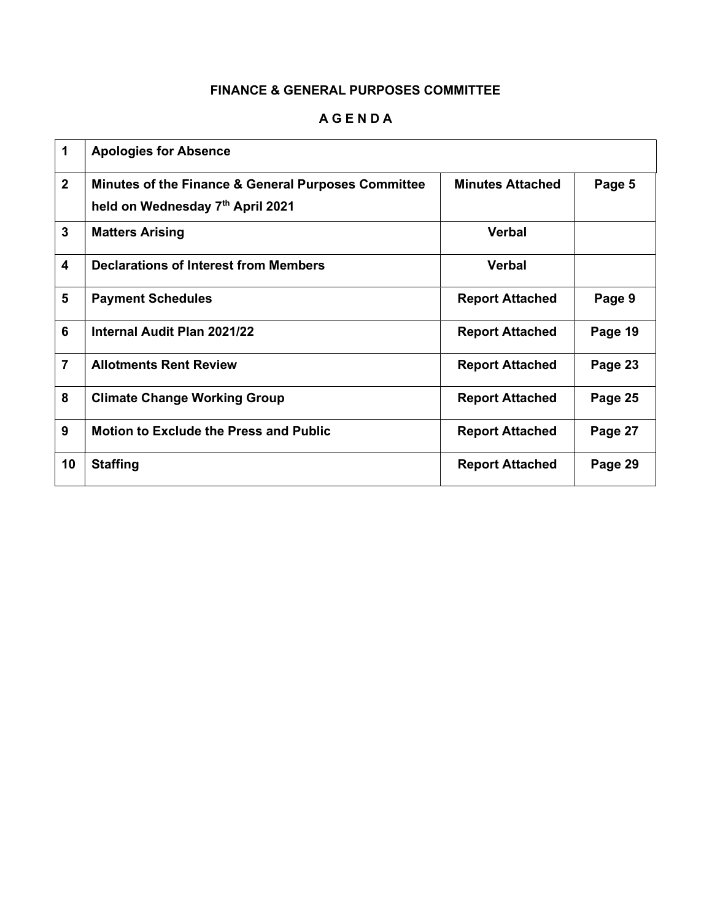### A G E N D A

| 1                       | <b>Apologies for Absence</b>                                                            |                         |         |
|-------------------------|-----------------------------------------------------------------------------------------|-------------------------|---------|
| $\overline{2}$          | Minutes of the Finance & General Purposes Committee<br>held on Wednesday 7th April 2021 | <b>Minutes Attached</b> | Page 5  |
| $\mathbf{3}$            | <b>Matters Arising</b>                                                                  | <b>Verbal</b>           |         |
| $\overline{\mathbf{4}}$ | <b>Declarations of Interest from Members</b>                                            | <b>Verbal</b>           |         |
| 5                       | <b>Payment Schedules</b>                                                                | <b>Report Attached</b>  | Page 9  |
| 6                       | Internal Audit Plan 2021/22                                                             | <b>Report Attached</b>  | Page 19 |
| $\overline{7}$          | <b>Allotments Rent Review</b>                                                           | <b>Report Attached</b>  | Page 23 |
| 8                       | <b>Climate Change Working Group</b>                                                     | <b>Report Attached</b>  | Page 25 |
| 9                       | <b>Motion to Exclude the Press and Public</b>                                           | <b>Report Attached</b>  | Page 27 |
| 10                      | <b>Staffing</b>                                                                         | <b>Report Attached</b>  | Page 29 |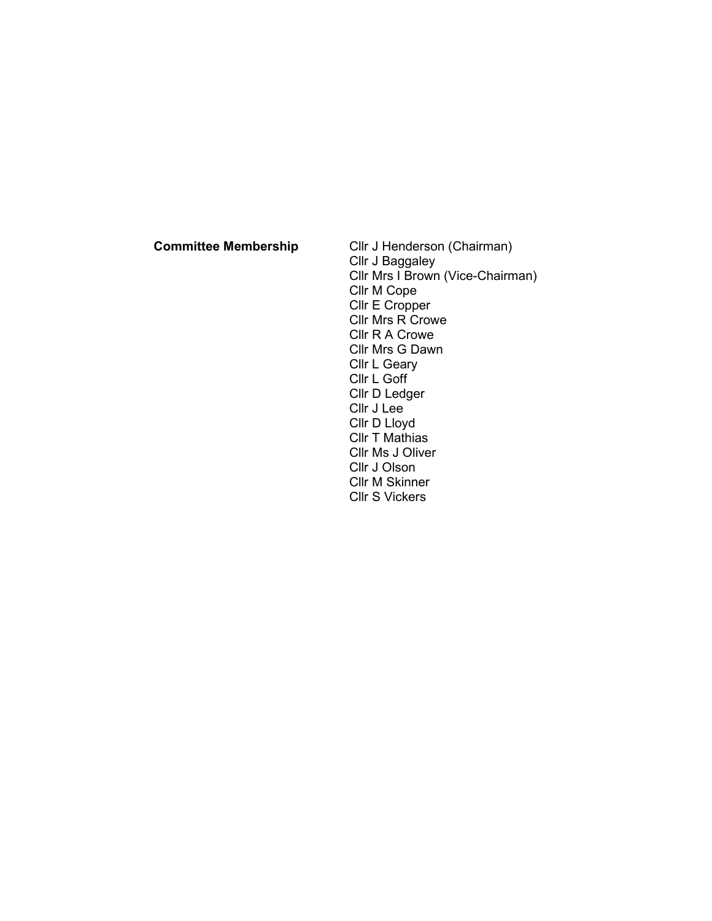Committee Membership Cllr J Henderson (Chairman) Cllr J Baggaley Cllr Mrs I Brown (Vice-Chairman) Cllr M Cope Cllr E Cropper Cllr Mrs R Crowe Cllr R A Crowe Cllr Mrs G Dawn Cllr L Geary Cllr L Goff Cllr D Ledger Cllr J Lee Cllr D Lloyd Cllr T Mathias Cllr Ms J Oliver Cllr J Olson Cllr M Skinner Cllr S Vickers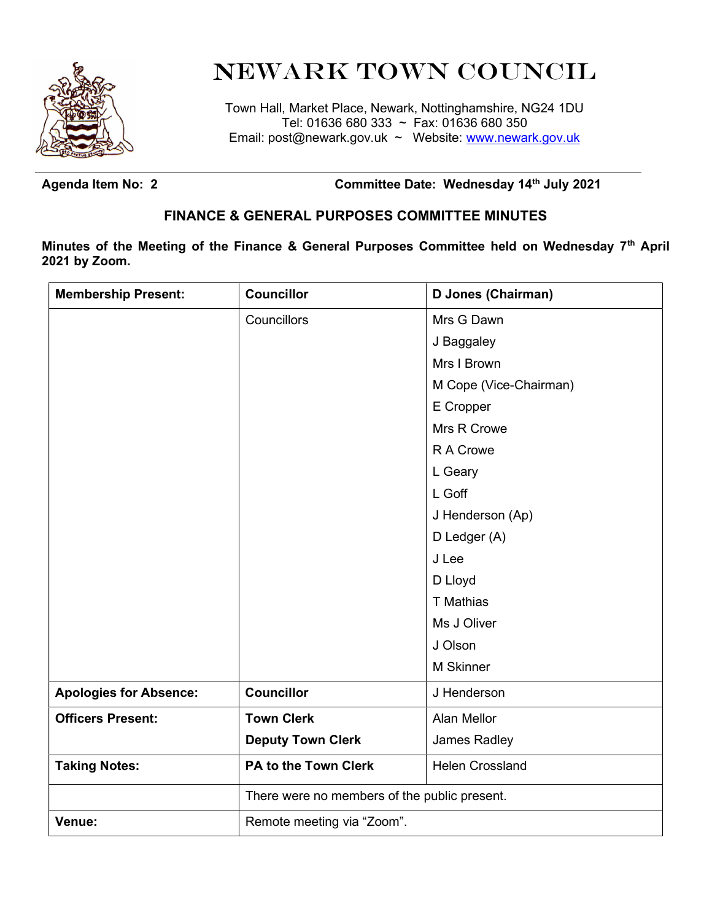

# Newark Town Council

Town Hall, Market Place, Newark, Nottinghamshire, NG24 1DU Tel: 01636 680 333 ~ Fax: 01636 680 350 Email: post@newark.gov.uk ~ Website: www.newark.gov.uk

Agenda Item No: 2 **Committee Date: Wednesday 14<sup>th</sup> July 2021** 

# FINANCE & GENERAL PURPOSES COMMITTEE MINUTES

Minutes of the Meeting of the Finance & General Purposes Committee held on Wednesday 7<sup>th</sup> April 2021 by Zoom.

| <b>Membership Present:</b>    | <b>Councillor</b>                            | D Jones (Chairman)     |
|-------------------------------|----------------------------------------------|------------------------|
|                               | Councillors                                  | Mrs G Dawn             |
|                               |                                              | J Baggaley             |
|                               |                                              | Mrs I Brown            |
|                               |                                              | M Cope (Vice-Chairman) |
|                               |                                              | E Cropper              |
|                               |                                              | Mrs R Crowe            |
|                               |                                              | R A Crowe              |
|                               |                                              | L Geary                |
|                               |                                              | L Goff                 |
|                               |                                              | J Henderson (Ap)       |
|                               |                                              | D Ledger (A)           |
|                               |                                              | J Lee                  |
|                               |                                              | D Lloyd                |
|                               |                                              | T Mathias              |
|                               |                                              | Ms J Oliver            |
|                               |                                              | J Olson                |
|                               |                                              | M Skinner              |
| <b>Apologies for Absence:</b> | <b>Councillor</b>                            | J Henderson            |
| <b>Officers Present:</b>      | <b>Town Clerk</b>                            | Alan Mellor            |
|                               | <b>Deputy Town Clerk</b>                     | James Radley           |
| <b>Taking Notes:</b>          | PA to the Town Clerk                         | <b>Helen Crossland</b> |
|                               | There were no members of the public present. |                        |
| Venue:                        | Remote meeting via "Zoom".                   |                        |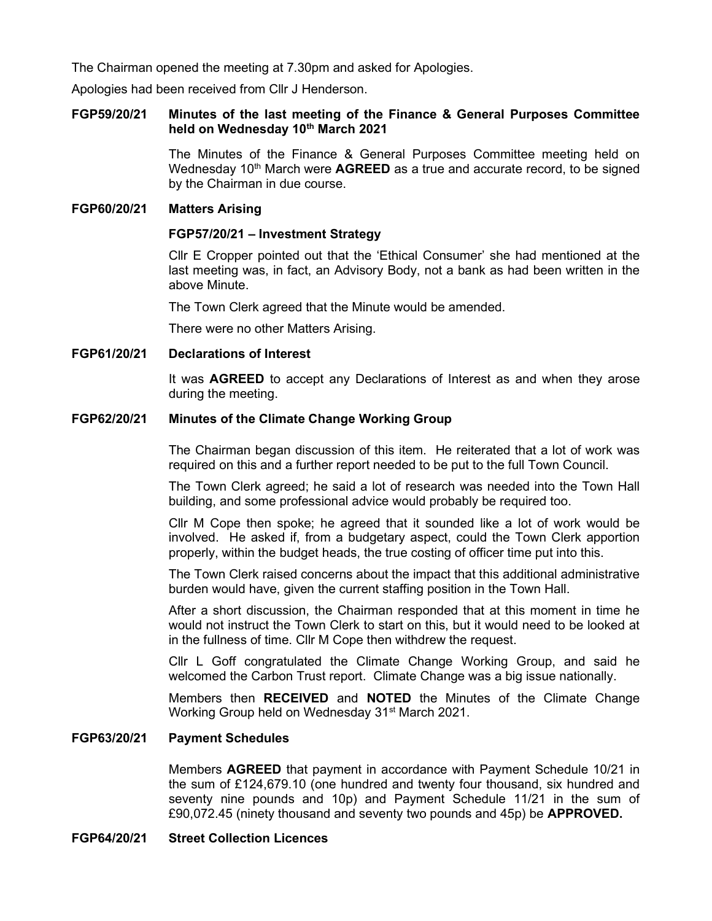The Chairman opened the meeting at 7.30pm and asked for Apologies.

Apologies had been received from Cllr J Henderson.

#### FGP59/20/21 Minutes of the last meeting of the Finance & General Purposes Committee held on Wednesday 10<sup>th</sup> March 2021

 The Minutes of the Finance & General Purposes Committee meeting held on Wednesday 10<sup>th</sup> March were **AGREED** as a true and accurate record, to be signed by the Chairman in due course.

#### FGP60/20/21 Matters Arising

#### FGP57/20/21 – Investment Strategy

Cllr E Cropper pointed out that the 'Ethical Consumer' she had mentioned at the last meeting was, in fact, an Advisory Body, not a bank as had been written in the above Minute.

The Town Clerk agreed that the Minute would be amended.

There were no other Matters Arising.

#### FGP61/20/21 Declarations of Interest

It was **AGREED** to accept any Declarations of Interest as and when they arose during the meeting.

#### FGP62/20/21 Minutes of the Climate Change Working Group

The Chairman began discussion of this item. He reiterated that a lot of work was required on this and a further report needed to be put to the full Town Council.

The Town Clerk agreed; he said a lot of research was needed into the Town Hall building, and some professional advice would probably be required too.

Cllr M Cope then spoke; he agreed that it sounded like a lot of work would be involved. He asked if, from a budgetary aspect, could the Town Clerk apportion properly, within the budget heads, the true costing of officer time put into this.

The Town Clerk raised concerns about the impact that this additional administrative burden would have, given the current staffing position in the Town Hall.

After a short discussion, the Chairman responded that at this moment in time he would not instruct the Town Clerk to start on this, but it would need to be looked at in the fullness of time. Cllr M Cope then withdrew the request.

Cllr L Goff congratulated the Climate Change Working Group, and said he welcomed the Carbon Trust report. Climate Change was a big issue nationally.

Members then RECEIVED and NOTED the Minutes of the Climate Change Working Group held on Wednesday 31<sup>st</sup> March 2021.

#### FGP63/20/21 Payment Schedules

Members AGREED that payment in accordance with Payment Schedule 10/21 in the sum of £124,679.10 (one hundred and twenty four thousand, six hundred and seventy nine pounds and 10p) and Payment Schedule 11/21 in the sum of £90,072.45 (ninety thousand and seventy two pounds and 45p) be **APPROVED.** 

#### FGP64/20/21 Street Collection Licences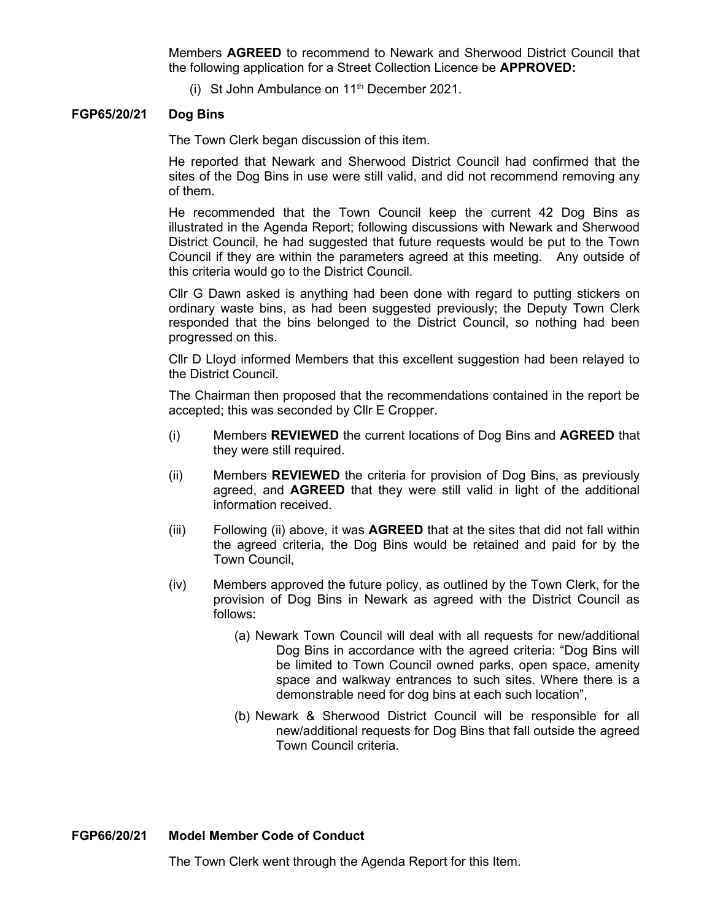Members AGREED to recommend to Newark and Sherwood District Council that the following application for a Street Collection Licence be APPROVED:

(i) St John Ambulance on  $11<sup>th</sup>$  December 2021.

#### FGP65/20/21 Dog Bins

The Town Clerk began discussion of this item.

He reported that Newark and Sherwood District Council had confirmed that the sites of the Dog Bins in use were still valid, and did not recommend removing any of them.

He recommended that the Town Council keep the current 42 Dog Bins as illustrated in the Agenda Report; following discussions with Newark and Sherwood District Council, he had suggested that future requests would be put to the Town Council if they are within the parameters agreed at this meeting. Any outside of this criteria would go to the District Council.

Cllr G Dawn asked is anything had been done with regard to putting stickers on ordinary waste bins, as had been suggested previously; the Deputy Town Clerk responded that the bins belonged to the District Council, so nothing had been progressed on this.

Cllr D Lloyd informed Members that this excellent suggestion had been relayed to the District Council.

The Chairman then proposed that the recommendations contained in the report be accepted; this was seconded by Cllr E Cropper.

- (i) Members REVIEWED the current locations of Dog Bins and AGREED that they were still required.
- (ii) Members **REVIEWED** the criteria for provision of Dog Bins, as previously agreed, and **AGREED** that they were still valid in light of the additional information received.
- (iii) Following (ii) above, it was  $AGREED$  that at the sites that did not fall within the agreed criteria, the Dog Bins would be retained and paid for by the Town Council,
- (iv) Members approved the future policy, as outlined by the Town Clerk, for the provision of Dog Bins in Newark as agreed with the District Council as follows:
	- (a) Newark Town Council will deal with all requests for new/additional Dog Bins in accordance with the agreed criteria: "Dog Bins will be limited to Town Council owned parks, open space, amenity space and walkway entrances to such sites. Where there is a demonstrable need for dog bins at each such location",
	- (b) Newark & Sherwood District Council will be responsible for all new/additional requests for Dog Bins that fall outside the agreed Town Council criteria.

#### FGP66/20/21 Model Member Code of Conduct

The Town Clerk went through the Agenda Report for this Item.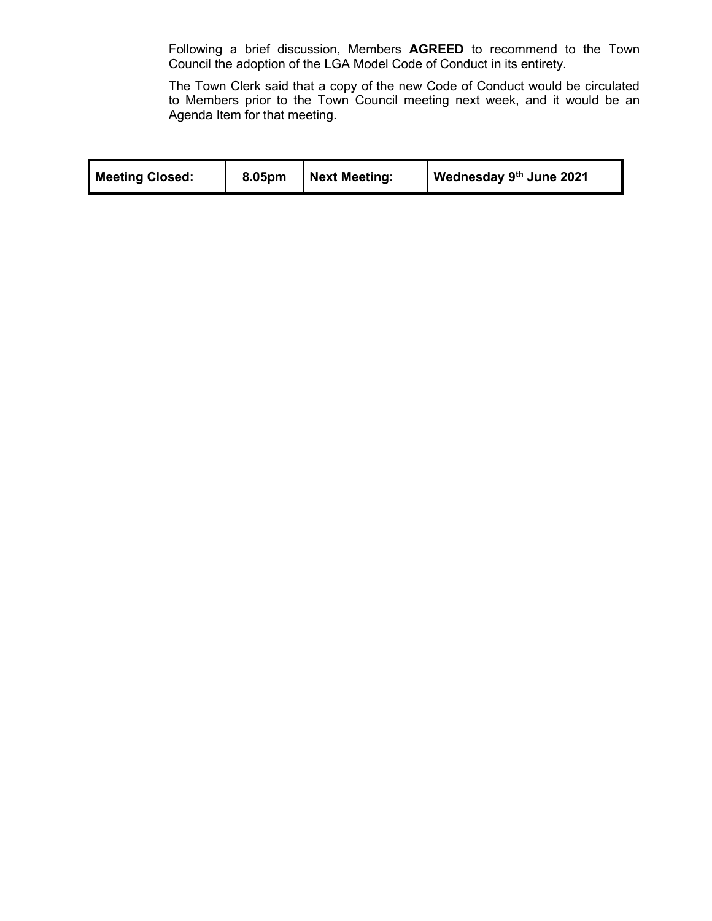Following a brief discussion, Members AGREED to recommend to the Town Council the adoption of the LGA Model Code of Conduct in its entirety.

The Town Clerk said that a copy of the new Code of Conduct would be circulated to Members prior to the Town Council meeting next week, and it would be an Agenda Item for that meeting.

| <b>Meeting Closed:</b> | 8.05pm | <b>Next Meeting:</b> | Wednesday 9th June 2021 |  |
|------------------------|--------|----------------------|-------------------------|--|
|------------------------|--------|----------------------|-------------------------|--|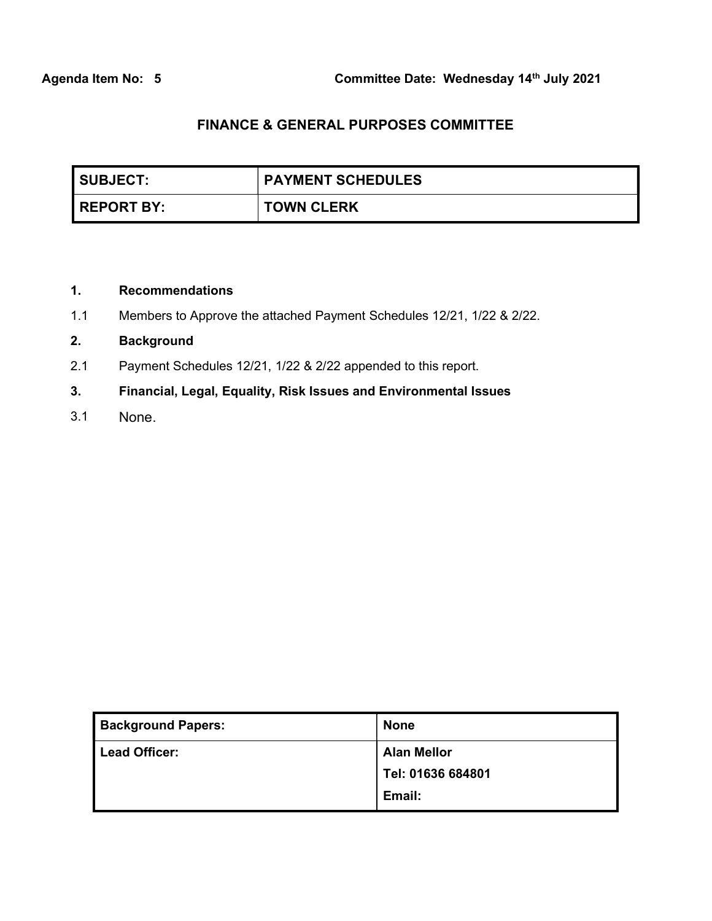| SUBJECT:          | <b>PAYMENT SCHEDULES</b> |
|-------------------|--------------------------|
| <b>REPORT BY:</b> | <b>TOWN CLERK</b>        |

### 1. Recommendations

1.1 Members to Approve the attached Payment Schedules 12/21, 1/22 & 2/22.

### 2. Background

- 2.1 Payment Schedules 12/21, 1/22 & 2/22 appended to this report.
- 3. Financial, Legal, Equality, Risk Issues and Environmental Issues
- 3.1 None.

| <b>Background Papers:</b> | <b>None</b>        |
|---------------------------|--------------------|
| <b>Lead Officer:</b>      | <b>Alan Mellor</b> |
|                           | Tel: 01636 684801  |
|                           | Email:             |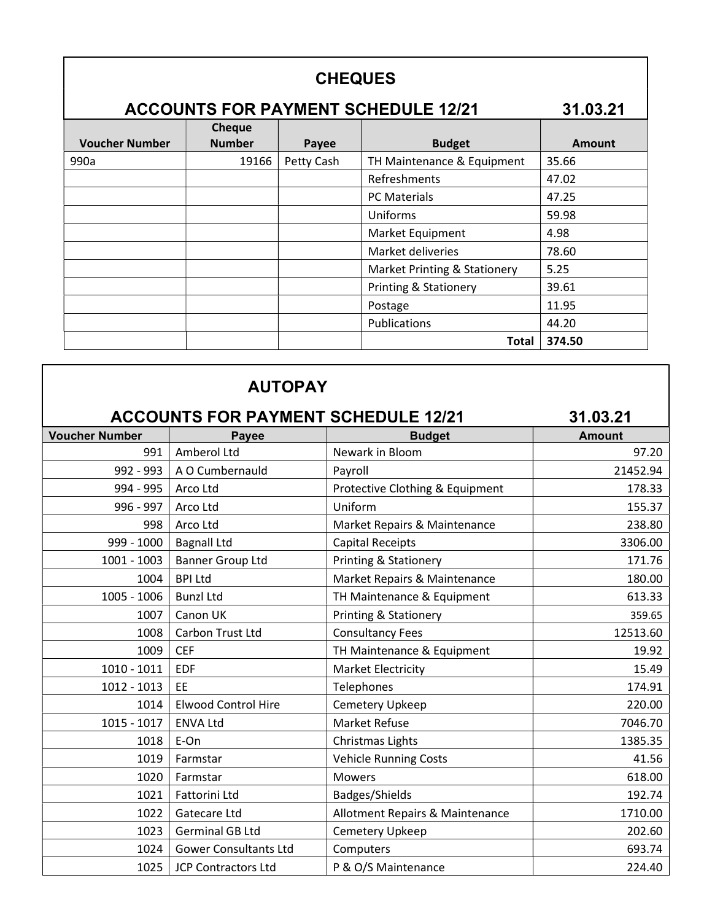# **CHEQUES**

# ACCOUNTS FOR PAYMENT SCHEDULE 12/21 31.03.21

| <b>Voucher Number</b> | <b>Cheque</b><br><b>Number</b> | Payee      | <b>Budget</b>                    | <b>Amount</b> |
|-----------------------|--------------------------------|------------|----------------------------------|---------------|
| 990a                  | 19166                          | Petty Cash | TH Maintenance & Equipment       | 35.66         |
|                       |                                |            | Refreshments                     | 47.02         |
|                       |                                |            | <b>PC Materials</b>              | 47.25         |
|                       |                                |            | Uniforms                         | 59.98         |
|                       |                                |            | Market Equipment                 | 4.98          |
|                       |                                |            | Market deliveries                | 78.60         |
|                       |                                |            | Market Printing & Stationery     | 5.25          |
|                       |                                |            | <b>Printing &amp; Stationery</b> | 39.61         |
|                       |                                |            | Postage                          | 11.95         |
|                       |                                |            | Publications                     | 44.20         |
|                       |                                |            | <b>Total</b>                     | 374.50        |

# AUTOPAY

| <b>ACCOUNTS FOR PAYMENT SCHEDULE 12/21</b><br>31.03.21 |                              |                                 |               |  |
|--------------------------------------------------------|------------------------------|---------------------------------|---------------|--|
| <b>Voucher Number</b>                                  | <b>Payee</b>                 | <b>Budget</b>                   | <b>Amount</b> |  |
| 991                                                    | Amberol Ltd                  | Newark in Bloom                 | 97.20         |  |
| 992 - 993                                              | A O Cumbernauld              | Payroll                         | 21452.94      |  |
| 994 - 995                                              | Arco Ltd                     | Protective Clothing & Equipment | 178.33        |  |
| 996 - 997                                              | Arco Ltd                     | Uniform                         | 155.37        |  |
| 998                                                    | Arco Ltd                     | Market Repairs & Maintenance    | 238.80        |  |
| 999 - 1000                                             | <b>Bagnall Ltd</b>           | <b>Capital Receipts</b>         | 3306.00       |  |
| $1001 - 1003$                                          | <b>Banner Group Ltd</b>      | Printing & Stationery           | 171.76        |  |
| 1004                                                   | <b>BPI Ltd</b>               | Market Repairs & Maintenance    | 180.00        |  |
| 1005 - 1006                                            | <b>Bunzl Ltd</b>             | TH Maintenance & Equipment      | 613.33        |  |
| 1007                                                   | Canon UK                     | Printing & Stationery           | 359.65        |  |
| 1008                                                   | Carbon Trust Ltd             | <b>Consultancy Fees</b>         | 12513.60      |  |
| 1009                                                   | <b>CEF</b>                   | TH Maintenance & Equipment      | 19.92         |  |
| $1010 - 1011$                                          | <b>EDF</b>                   | <b>Market Electricity</b>       | 15.49         |  |
| 1012 - 1013                                            | EE                           | Telephones                      | 174.91        |  |
| 1014                                                   | <b>Elwood Control Hire</b>   | Cemetery Upkeep                 | 220.00        |  |
| $1015 - 1017$                                          | <b>ENVA Ltd</b>              | Market Refuse                   | 7046.70       |  |
| 1018                                                   | E-On                         | Christmas Lights                | 1385.35       |  |
| 1019                                                   | Farmstar                     | Vehicle Running Costs           | 41.56         |  |
| 1020                                                   | Farmstar                     | <b>Mowers</b>                   | 618.00        |  |
| 1021                                                   | Fattorini Ltd                | Badges/Shields                  | 192.74        |  |
| 1022                                                   | Gatecare Ltd                 | Allotment Repairs & Maintenance | 1710.00       |  |
| 1023                                                   | <b>Germinal GB Ltd</b>       | Cemetery Upkeep                 | 202.60        |  |
| 1024                                                   | <b>Gower Consultants Ltd</b> | Computers                       | 693.74        |  |
| 1025                                                   | <b>JCP Contractors Ltd</b>   | P & O/S Maintenance             | 224.40        |  |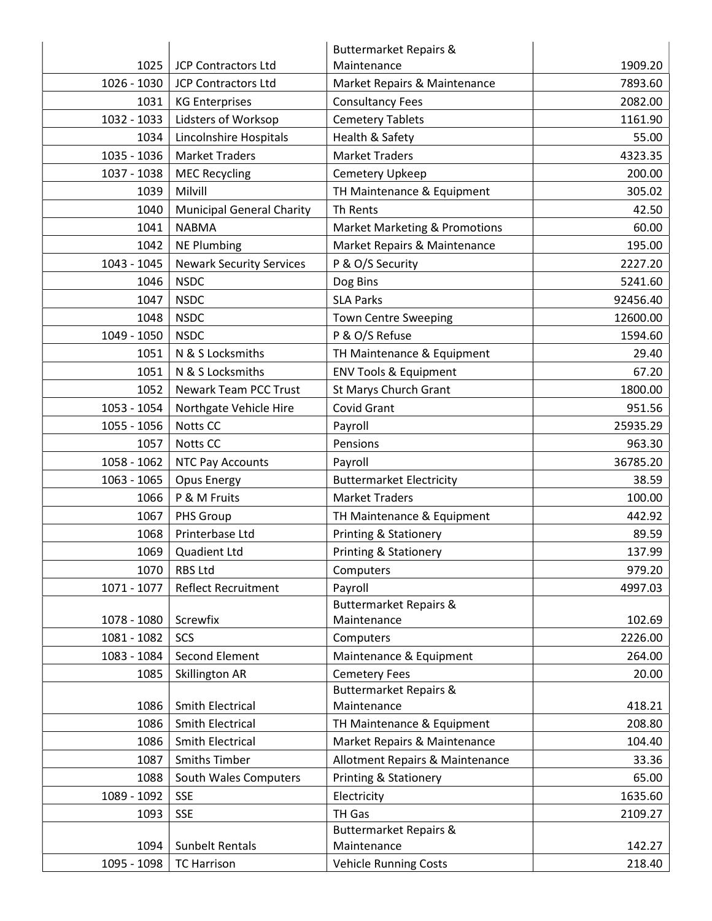|             |                                  | <b>Buttermarket Repairs &amp;</b>        |          |
|-------------|----------------------------------|------------------------------------------|----------|
| 1025        | <b>JCP Contractors Ltd</b>       | Maintenance                              | 1909.20  |
| 1026 - 1030 | <b>JCP Contractors Ltd</b>       | Market Repairs & Maintenance             | 7893.60  |
| 1031        | <b>KG Enterprises</b>            | <b>Consultancy Fees</b>                  | 2082.00  |
| 1032 - 1033 | Lidsters of Worksop              | <b>Cemetery Tablets</b>                  | 1161.90  |
| 1034        | Lincolnshire Hospitals           | Health & Safety                          | 55.00    |
| 1035 - 1036 | <b>Market Traders</b>            | <b>Market Traders</b>                    | 4323.35  |
| 1037 - 1038 | <b>MEC Recycling</b>             | Cemetery Upkeep                          | 200.00   |
| 1039        | Milvill                          | TH Maintenance & Equipment               | 305.02   |
| 1040        | <b>Municipal General Charity</b> | Th Rents                                 | 42.50    |
| 1041        | <b>NABMA</b>                     | <b>Market Marketing &amp; Promotions</b> | 60.00    |
| 1042        | <b>NE Plumbing</b>               | Market Repairs & Maintenance             | 195.00   |
| 1043 - 1045 | <b>Newark Security Services</b>  | P & O/S Security                         | 2227.20  |
| 1046        | <b>NSDC</b>                      | Dog Bins                                 | 5241.60  |
| 1047        | <b>NSDC</b>                      | <b>SLA Parks</b>                         | 92456.40 |
| 1048        | <b>NSDC</b>                      | <b>Town Centre Sweeping</b>              | 12600.00 |
| 1049 - 1050 | <b>NSDC</b>                      | P & O/S Refuse                           | 1594.60  |
| 1051        | N & S Locksmiths                 | TH Maintenance & Equipment               | 29.40    |
| 1051        | N & S Locksmiths                 | <b>ENV Tools &amp; Equipment</b>         | 67.20    |
| 1052        | <b>Newark Team PCC Trust</b>     | St Marys Church Grant                    | 1800.00  |
| 1053 - 1054 | Northgate Vehicle Hire           | Covid Grant                              | 951.56   |
| 1055 - 1056 | Notts CC                         | Payroll                                  | 25935.29 |
| 1057        | Notts CC                         | Pensions                                 | 963.30   |
| 1058 - 1062 | NTC Pay Accounts                 | Payroll                                  | 36785.20 |
| 1063 - 1065 | <b>Opus Energy</b>               | <b>Buttermarket Electricity</b>          | 38.59    |
| 1066        | P & M Fruits                     | <b>Market Traders</b>                    | 100.00   |
| 1067        | PHS Group                        | TH Maintenance & Equipment               | 442.92   |
| 1068        | Printerbase Ltd                  | <b>Printing &amp; Stationery</b>         | 89.59    |
| 1069        | Quadient Ltd                     | <b>Printing &amp; Stationery</b>         | 137.99   |
| 1070        | <b>RBS Ltd</b>                   | Computers                                | 979.20   |
| 1071 - 1077 | <b>Reflect Recruitment</b>       | Payroll                                  | 4997.03  |
|             |                                  | <b>Buttermarket Repairs &amp;</b>        |          |
| 1078 - 1080 | Screwfix                         | Maintenance                              | 102.69   |
| 1081 - 1082 | SCS                              | Computers                                | 2226.00  |
| 1083 - 1084 | Second Element                   | Maintenance & Equipment                  | 264.00   |
| 1085        | Skillington AR                   | <b>Cemetery Fees</b>                     | 20.00    |
|             |                                  | <b>Buttermarket Repairs &amp;</b>        |          |
| 1086        | Smith Electrical                 | Maintenance                              | 418.21   |
| 1086        | <b>Smith Electrical</b>          | TH Maintenance & Equipment               | 208.80   |
| 1086        | Smith Electrical                 | Market Repairs & Maintenance             | 104.40   |
| 1087        | <b>Smiths Timber</b>             | Allotment Repairs & Maintenance          | 33.36    |
| 1088        | South Wales Computers            | Printing & Stationery                    | 65.00    |
| 1089 - 1092 | <b>SSE</b>                       | Electricity                              | 1635.60  |
| 1093        | <b>SSE</b>                       | TH Gas                                   | 2109.27  |
|             |                                  | <b>Buttermarket Repairs &amp;</b>        |          |
| 1094        | <b>Sunbelt Rentals</b>           | Maintenance                              | 142.27   |
| 1095 - 1098 | <b>TC Harrison</b>               | <b>Vehicle Running Costs</b>             | 218.40   |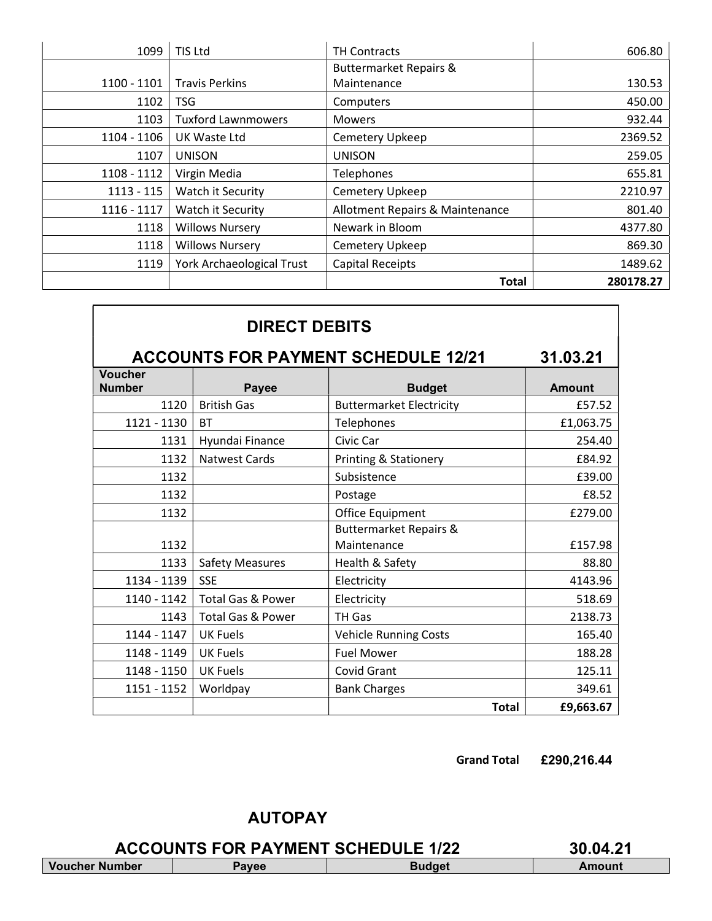| 1099         | TIS Ltd                          | <b>TH Contracts</b>               | 606.80    |
|--------------|----------------------------------|-----------------------------------|-----------|
|              |                                  | <b>Buttermarket Repairs &amp;</b> |           |
| 1100 - 1101  | <b>Travis Perkins</b>            | Maintenance                       | 130.53    |
| 1102         | <b>TSG</b>                       | Computers                         | 450.00    |
| 1103         | <b>Tuxford Lawnmowers</b>        | <b>Mowers</b>                     | 932.44    |
| 1104 - 1106  | <b>UK Waste Ltd</b>              | Cemetery Upkeep                   | 2369.52   |
| 1107         | <b>UNISON</b>                    | <b>UNISON</b>                     | 259.05    |
| 1108 - 1112  | Virgin Media                     | Telephones                        | 655.81    |
| $1113 - 115$ | Watch it Security                | Cemetery Upkeep                   | 2210.97   |
| 1116 - 1117  | Watch it Security                | Allotment Repairs & Maintenance   | 801.40    |
| 1118         | <b>Willows Nursery</b>           | Newark in Bloom                   | 4377.80   |
| 1118         | <b>Willows Nursery</b>           | Cemetery Upkeep                   | 869.30    |
| 1119         | <b>York Archaeological Trust</b> | <b>Capital Receipts</b>           | 1489.62   |
|              |                                  | <b>Total</b>                      | 280178.27 |

| <b>DIRECT DEBITS</b>            |                              |                                            |               |  |
|---------------------------------|------------------------------|--------------------------------------------|---------------|--|
|                                 |                              | <b>ACCOUNTS FOR PAYMENT SCHEDULE 12/21</b> | 31.03.21      |  |
| <b>Voucher</b><br><b>Number</b> | <b>Payee</b>                 | <b>Budget</b>                              | <b>Amount</b> |  |
| 1120                            | <b>British Gas</b>           | <b>Buttermarket Electricity</b>            | £57.52        |  |
| 1121 - 1130                     | <b>BT</b>                    | Telephones                                 | £1,063.75     |  |
| 1131                            | Hyundai Finance              | Civic Car                                  | 254.40        |  |
| 1132                            | <b>Natwest Cards</b>         | <b>Printing &amp; Stationery</b>           | £84.92        |  |
| 1132                            |                              | Subsistence                                | £39.00        |  |
| 1132                            |                              | Postage                                    | £8.52         |  |
| 1132                            |                              | Office Equipment                           | £279.00       |  |
|                                 |                              | <b>Buttermarket Repairs &amp;</b>          |               |  |
| 1132                            |                              | Maintenance                                | £157.98       |  |
| 1133                            | <b>Safety Measures</b>       | Health & Safety                            | 88.80         |  |
| 1134 - 1139                     | <b>SSE</b>                   | Electricity                                | 4143.96       |  |
| 1140 - 1142                     | <b>Total Gas &amp; Power</b> | Electricity                                | 518.69        |  |
| 1143                            | <b>Total Gas &amp; Power</b> | TH Gas                                     | 2138.73       |  |
| 1144 - 1147                     | <b>UK Fuels</b>              | <b>Vehicle Running Costs</b>               | 165.40        |  |
| 1148 - 1149                     | <b>UK Fuels</b>              | <b>Fuel Mower</b>                          | 188.28        |  |
| 1148 - 1150                     | <b>UK Fuels</b>              | Covid Grant                                | 125.11        |  |
| 1151 - 1152                     | Worldpay                     | <b>Bank Charges</b>                        | 349.61        |  |
|                                 |                              | <b>Total</b>                               | £9,663.67     |  |

Grand Total £290,216.44

# AUTOPAY

ACCOUNTS FOR PAYMENT SCHEDULE 1/22 30.04.21<br>
Imper | Payee | Budget | Amount Voucher Number | Payee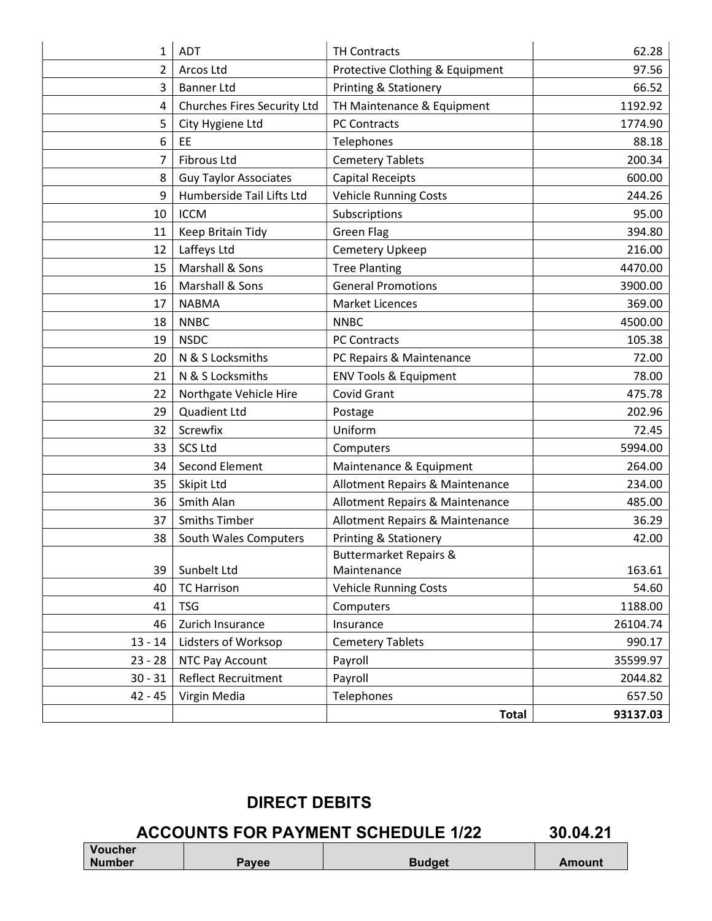| 1         | <b>ADT</b>                         | <b>TH Contracts</b>               | 62.28    |
|-----------|------------------------------------|-----------------------------------|----------|
| 2         | Arcos Ltd                          | Protective Clothing & Equipment   | 97.56    |
| 3         | <b>Banner Ltd</b>                  | <b>Printing &amp; Stationery</b>  | 66.52    |
| 4         | <b>Churches Fires Security Ltd</b> | TH Maintenance & Equipment        | 1192.92  |
| 5         | City Hygiene Ltd                   | PC Contracts                      | 1774.90  |
| 6         | EE                                 | Telephones                        | 88.18    |
| 7         | <b>Fibrous Ltd</b>                 | <b>Cemetery Tablets</b>           | 200.34   |
| 8         | <b>Guy Taylor Associates</b>       | <b>Capital Receipts</b>           | 600.00   |
| 9         | Humberside Tail Lifts Ltd          | <b>Vehicle Running Costs</b>      | 244.26   |
| 10        | <b>ICCM</b>                        | Subscriptions                     | 95.00    |
| 11        | Keep Britain Tidy                  | <b>Green Flag</b>                 | 394.80   |
| 12        | Laffeys Ltd                        | Cemetery Upkeep                   | 216.00   |
| 15        | Marshall & Sons                    | <b>Tree Planting</b>              | 4470.00  |
| 16        | Marshall & Sons                    | <b>General Promotions</b>         | 3900.00  |
| 17        | <b>NABMA</b>                       | Market Licences                   | 369.00   |
| 18        | <b>NNBC</b>                        | <b>NNBC</b>                       | 4500.00  |
| 19        | <b>NSDC</b>                        | <b>PC Contracts</b>               | 105.38   |
| 20        | N & S Locksmiths                   | PC Repairs & Maintenance          | 72.00    |
| 21        | N & S Locksmiths                   | <b>ENV Tools &amp; Equipment</b>  | 78.00    |
| 22        | Northgate Vehicle Hire             | Covid Grant                       | 475.78   |
| 29        | Quadient Ltd                       | Postage                           | 202.96   |
| 32        | Screwfix                           | Uniform                           | 72.45    |
| 33        | <b>SCS Ltd</b>                     | Computers                         | 5994.00  |
| 34        | Second Element                     | Maintenance & Equipment           | 264.00   |
| 35        | Skipit Ltd                         | Allotment Repairs & Maintenance   | 234.00   |
| 36        | Smith Alan                         | Allotment Repairs & Maintenance   | 485.00   |
| 37        | <b>Smiths Timber</b>               | Allotment Repairs & Maintenance   | 36.29    |
| 38        | South Wales Computers              | <b>Printing &amp; Stationery</b>  | 42.00    |
|           |                                    | <b>Buttermarket Repairs &amp;</b> |          |
| 39        | Sunbelt Ltd                        | Maintenance                       | 163.61   |
| 40        | <b>TC Harrison</b>                 | <b>Vehicle Running Costs</b>      | 54.60    |
| 41        | <b>TSG</b>                         | Computers                         | 1188.00  |
| 46        | Zurich Insurance                   | Insurance                         | 26104.74 |
| $13 - 14$ | Lidsters of Worksop                | <b>Cemetery Tablets</b>           | 990.17   |
| $23 - 28$ | NTC Pay Account                    | Payroll                           | 35599.97 |
| $30 - 31$ | <b>Reflect Recruitment</b>         | Payroll                           | 2044.82  |
| $42 - 45$ | Virgin Media                       | Telephones                        | 657.50   |
|           |                                    | <b>Total</b>                      | 93137.03 |

# DIRECT DEBITS

# ACCOUNTS FOR PAYMENT SCHEDULE 1/22 30.04.21

| Voucher       |          |        |        |
|---------------|----------|--------|--------|
| <b>Number</b> | $P$ avee | Budget | Amount |
|               |          |        |        |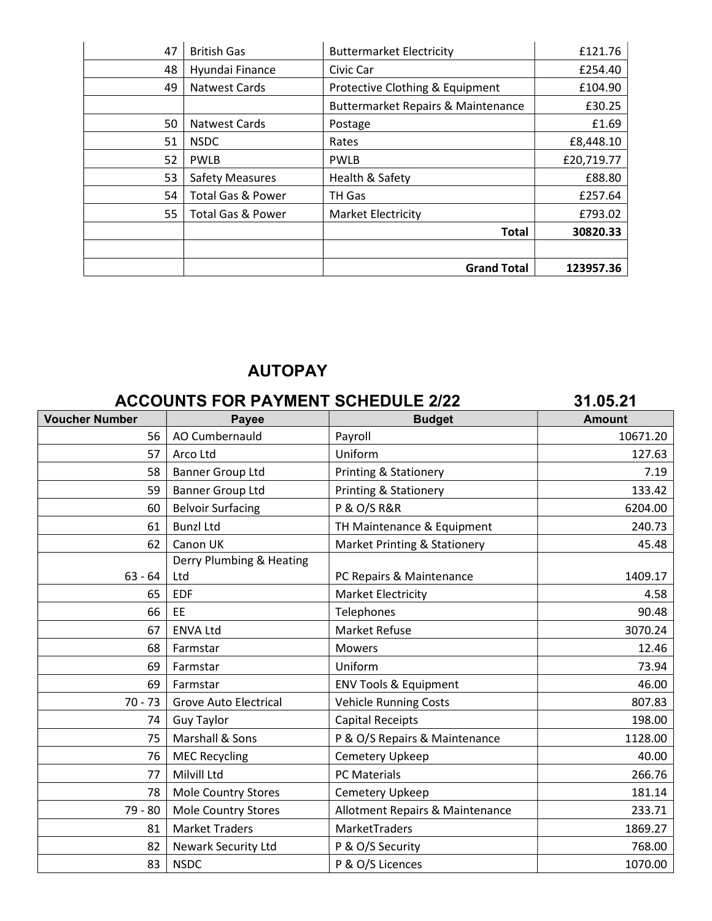| 47 | <b>British Gas</b>           | <b>Buttermarket Electricity</b>    | £121.76    |
|----|------------------------------|------------------------------------|------------|
| 48 | Hyundai Finance              | Civic Car                          | £254.40    |
| 49 | <b>Natwest Cards</b>         | Protective Clothing & Equipment    | £104.90    |
|    |                              | Buttermarket Repairs & Maintenance | £30.25     |
| 50 | <b>Natwest Cards</b>         | Postage                            | £1.69      |
| 51 | <b>NSDC</b>                  | Rates                              | £8,448.10  |
| 52 | <b>PWLB</b>                  | <b>PWLB</b>                        | £20,719.77 |
| 53 | <b>Safety Measures</b>       | Health & Safety                    | £88.80     |
| 54 | <b>Total Gas &amp; Power</b> | TH Gas                             | £257.64    |
| 55 | <b>Total Gas &amp; Power</b> | <b>Market Electricity</b>          | £793.02    |
|    |                              | <b>Total</b>                       | 30820.33   |
|    |                              |                                    |            |
|    |                              | <b>Grand Total</b>                 | 123957.36  |

# AUTOPAY

|                       | <b>ACCOUNTS FOR PAYMENT SCHEDULE 2/22</b> |                                         | 31.05.21      |
|-----------------------|-------------------------------------------|-----------------------------------------|---------------|
| <b>Voucher Number</b> | <b>Payee</b>                              | <b>Budget</b>                           | <b>Amount</b> |
| 56                    | AO Cumbernauld                            | Payroll                                 | 10671.20      |
| 57                    | Arco Ltd                                  | Uniform                                 | 127.63        |
| 58                    | <b>Banner Group Ltd</b>                   | <b>Printing &amp; Stationery</b>        | 7.19          |
| 59                    | <b>Banner Group Ltd</b>                   | <b>Printing &amp; Stationery</b>        | 133.42        |
| 60                    | <b>Belvoir Surfacing</b>                  | <b>P &amp; O/S R&amp;R</b>              | 6204.00       |
| 61                    | <b>Bunzl Ltd</b>                          | TH Maintenance & Equipment              | 240.73        |
| 62                    | Canon UK                                  | <b>Market Printing &amp; Stationery</b> | 45.48         |
|                       | Derry Plumbing & Heating                  |                                         |               |
| $63 - 64$             | Ltd                                       | PC Repairs & Maintenance                | 1409.17       |
| 65                    | <b>EDF</b>                                | <b>Market Electricity</b>               | 4.58          |
| 66                    | EE                                        | Telephones                              | 90.48         |
| 67                    | <b>ENVA Ltd</b>                           | <b>Market Refuse</b>                    | 3070.24       |
| 68                    | Farmstar                                  | <b>Mowers</b>                           | 12.46         |
| 69                    | Farmstar                                  | Uniform                                 | 73.94         |
| 69                    | Farmstar                                  | <b>ENV Tools &amp; Equipment</b>        | 46.00         |
| $70 - 73$             | <b>Grove Auto Electrical</b>              | <b>Vehicle Running Costs</b>            | 807.83        |
| 74                    | <b>Guy Taylor</b>                         | <b>Capital Receipts</b>                 | 198.00        |
| 75                    | Marshall & Sons                           | P & O/S Repairs & Maintenance           | 1128.00       |
| 76                    | <b>MEC Recycling</b>                      | Cemetery Upkeep                         | 40.00         |
| 77                    | Milvill Ltd                               | <b>PC Materials</b>                     | 266.76        |
| 78                    | <b>Mole Country Stores</b>                | Cemetery Upkeep                         | 181.14        |
| 79 - 80               | <b>Mole Country Stores</b>                | Allotment Repairs & Maintenance         | 233.71        |
| 81                    | <b>Market Traders</b>                     | MarketTraders                           | 1869.27       |
| 82                    | <b>Newark Security Ltd</b>                | P & O/S Security                        | 768.00        |
| 83                    | <b>NSDC</b>                               | P & O/S Licences                        | 1070.00       |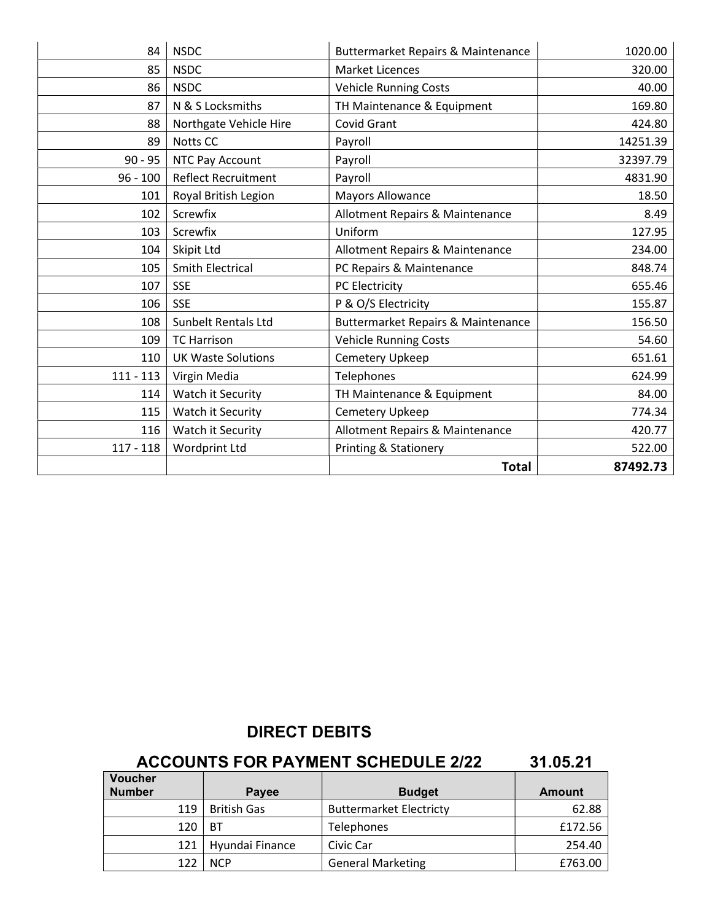|             |                            | <b>Total</b>                                  | 87492.73 |
|-------------|----------------------------|-----------------------------------------------|----------|
| $117 - 118$ | Wordprint Ltd              | Printing & Stationery                         | 522.00   |
| 116         | Watch it Security          | Allotment Repairs & Maintenance               | 420.77   |
| 115         | Watch it Security          | Cemetery Upkeep                               | 774.34   |
| 114         | Watch it Security          | TH Maintenance & Equipment                    | 84.00    |
| $111 - 113$ | Virgin Media               | Telephones                                    | 624.99   |
| 110         | <b>UK Waste Solutions</b>  | Cemetery Upkeep                               | 651.61   |
| 109         | <b>TC Harrison</b>         | Vehicle Running Costs                         | 54.60    |
| 108         | Sunbelt Rentals Ltd        | <b>Buttermarket Repairs &amp; Maintenance</b> | 156.50   |
| 106         | <b>SSE</b>                 | P & O/S Electricity                           | 155.87   |
| 107         | <b>SSE</b>                 | PC Electricity                                | 655.46   |
| 105         | <b>Smith Electrical</b>    | PC Repairs & Maintenance                      | 848.74   |
| 104         | Skipit Ltd                 | <b>Allotment Repairs &amp; Maintenance</b>    | 234.00   |
| 103         | Screwfix                   | Uniform                                       | 127.95   |
| 102         | Screwfix                   | Allotment Repairs & Maintenance               | 8.49     |
| 101         | Royal British Legion       | <b>Mayors Allowance</b>                       | 18.50    |
| $96 - 100$  | <b>Reflect Recruitment</b> | Payroll                                       | 4831.90  |
| $90 - 95$   | NTC Pay Account            | Payroll                                       | 32397.79 |
| 89          | Notts CC                   | Payroll                                       | 14251.39 |
| 88          | Northgate Vehicle Hire     | Covid Grant                                   | 424.80   |
| 87          | N & S Locksmiths           | TH Maintenance & Equipment                    | 169.80   |
| 86          | <b>NSDC</b>                | <b>Vehicle Running Costs</b>                  | 40.00    |
| 85          | <b>NSDC</b>                | <b>Market Licences</b>                        | 320.00   |
| 84          | <b>NSDC</b>                | <b>Buttermarket Repairs &amp; Maintenance</b> | 1020.00  |

# DIRECT DEBITS

# ACCOUNTS FOR PAYMENT SCHEDULE 2/22 31.05.21

| <b>Voucher</b><br><b>Number</b> | <b>Payee</b>       | <b>Budget</b>                  | <b>Amount</b> |
|---------------------------------|--------------------|--------------------------------|---------------|
| 119                             | <b>British Gas</b> | <b>Buttermarket Electricty</b> | 62.88         |
| 120                             | ВT                 | <b>Telephones</b>              | £172.56       |
| 121                             | Hyundai Finance    | Civic Car                      | 254.40        |
| 122                             | <b>NCP</b>         | <b>General Marketing</b>       | £763.00       |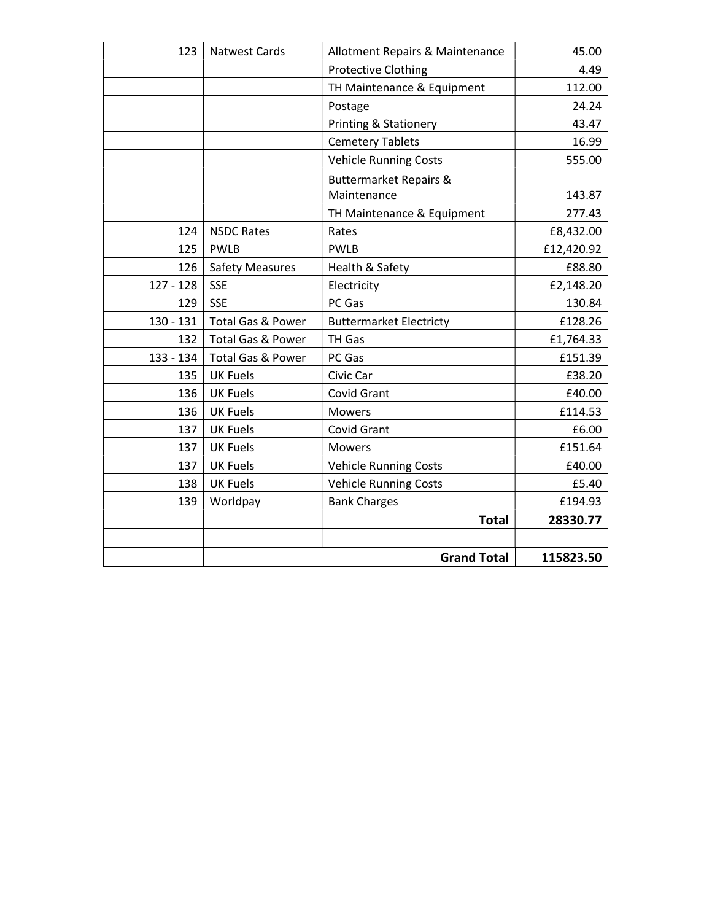| 123         | <b>Natwest Cards</b>         | Allotment Repairs & Maintenance   | 45.00      |
|-------------|------------------------------|-----------------------------------|------------|
|             |                              | <b>Protective Clothing</b>        | 4.49       |
|             |                              | TH Maintenance & Equipment        | 112.00     |
|             |                              | Postage                           | 24.24      |
|             |                              | Printing & Stationery             | 43.47      |
|             |                              | <b>Cemetery Tablets</b>           | 16.99      |
|             |                              | <b>Vehicle Running Costs</b>      | 555.00     |
|             |                              | <b>Buttermarket Repairs &amp;</b> |            |
|             |                              | Maintenance                       | 143.87     |
|             |                              | TH Maintenance & Equipment        | 277.43     |
| 124         | <b>NSDC Rates</b>            | Rates                             | £8,432.00  |
| 125         | <b>PWLB</b>                  | <b>PWLB</b>                       | £12,420.92 |
| 126         | <b>Safety Measures</b>       | Health & Safety                   | £88.80     |
| $127 - 128$ | <b>SSE</b>                   | Electricity                       | £2,148.20  |
| 129         | <b>SSE</b>                   | PC Gas                            | 130.84     |
| $130 - 131$ | Total Gas & Power            | <b>Buttermarket Electricty</b>    | £128.26    |
| 132         | <b>Total Gas &amp; Power</b> | TH Gas                            | £1,764.33  |
| 133 - 134   | <b>Total Gas &amp; Power</b> | PC Gas                            | £151.39    |
| 135         | <b>UK Fuels</b>              | Civic Car                         | £38.20     |
| 136         | <b>UK Fuels</b>              | Covid Grant                       | £40.00     |
| 136         | <b>UK Fuels</b>              | <b>Mowers</b>                     | £114.53    |
| 137         | <b>UK Fuels</b>              | Covid Grant                       | £6.00      |
| 137         | <b>UK Fuels</b>              | <b>Mowers</b>                     | £151.64    |
| 137         | <b>UK Fuels</b>              | <b>Vehicle Running Costs</b>      | £40.00     |
| 138         | <b>UK Fuels</b>              | <b>Vehicle Running Costs</b>      | £5.40      |
| 139         | Worldpay                     | <b>Bank Charges</b>               | £194.93    |
|             |                              | <b>Total</b>                      | 28330.77   |
|             |                              |                                   |            |
|             |                              | <b>Grand Total</b>                | 115823.50  |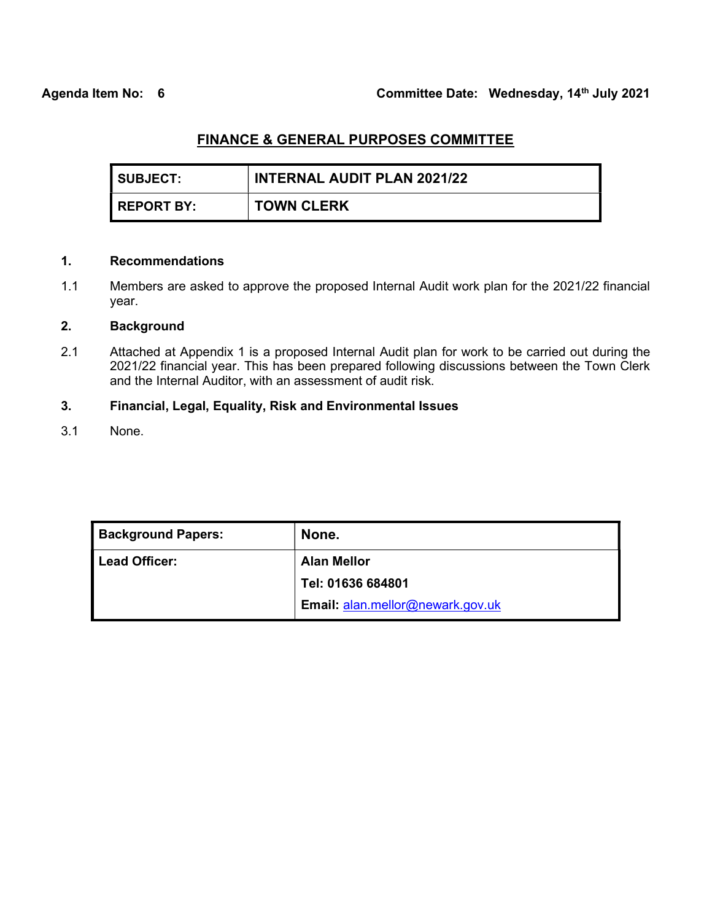| I SUBJECT:   | <b>INTERNAL AUDIT PLAN 2021/22</b> |
|--------------|------------------------------------|
| I REPORT BY: | <b>TOWN CLERK</b>                  |

### 1. Recommendations

1.1 Members are asked to approve the proposed Internal Audit work plan for the 2021/22 financial year.

### 2. Background

2.1 Attached at Appendix 1 is a proposed Internal Audit plan for work to be carried out during the 2021/22 financial year. This has been prepared following discussions between the Town Clerk and the Internal Auditor, with an assessment of audit risk.

### 3. Financial, Legal, Equality, Risk and Environmental Issues

3.1 None.

| None.                                   |
|-----------------------------------------|
| <b>Alan Mellor</b>                      |
| Tel: 01636 684801                       |
| <b>Email: alan.mellor@newark.gov.uk</b> |
|                                         |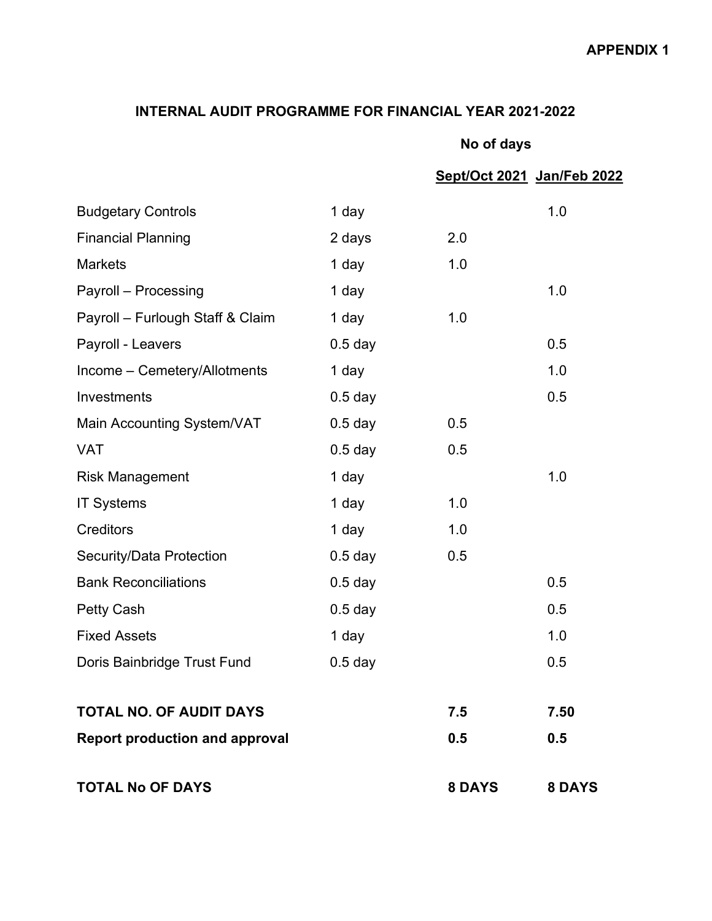# INTERNAL AUDIT PROGRAMME FOR FINANCIAL YEAR 2021-2022

|  | No of days |
|--|------------|
|--|------------|

|                                       |           |               | Sept/Oct 2021 Jan/Feb 2022 |
|---------------------------------------|-----------|---------------|----------------------------|
| <b>Budgetary Controls</b>             | 1 day     |               | 1.0                        |
| <b>Financial Planning</b>             | 2 days    | 2.0           |                            |
| <b>Markets</b>                        | 1 day     | 1.0           |                            |
| Payroll - Processing                  | 1 day     |               | 1.0                        |
| Payroll - Furlough Staff & Claim      | 1 day     | 1.0           |                            |
| Payroll - Leavers                     | $0.5$ day |               | 0.5                        |
| Income - Cemetery/Allotments          | 1 day     |               | 1.0                        |
| Investments                           | $0.5$ day |               | 0.5                        |
| Main Accounting System/VAT            | $0.5$ day | 0.5           |                            |
| <b>VAT</b>                            | $0.5$ day | 0.5           |                            |
| <b>Risk Management</b>                | 1 day     |               | 1.0                        |
| <b>IT Systems</b>                     | 1 day     | 1.0           |                            |
| <b>Creditors</b>                      | 1 day     | 1.0           |                            |
| Security/Data Protection              | $0.5$ day | 0.5           |                            |
| <b>Bank Reconciliations</b>           | $0.5$ day |               | 0.5                        |
| <b>Petty Cash</b>                     | $0.5$ day |               | 0.5                        |
| <b>Fixed Assets</b>                   | 1 day     |               | 1.0                        |
| Doris Bainbridge Trust Fund           | $0.5$ day |               | 0.5                        |
| <b>TOTAL NO. OF AUDIT DAYS</b>        |           | 7.5           | 7.50                       |
| <b>Report production and approval</b> |           | 0.5           | 0.5                        |
| <b>TOTAL No OF DAYS</b>               |           | <b>8 DAYS</b> | 8 DAYS                     |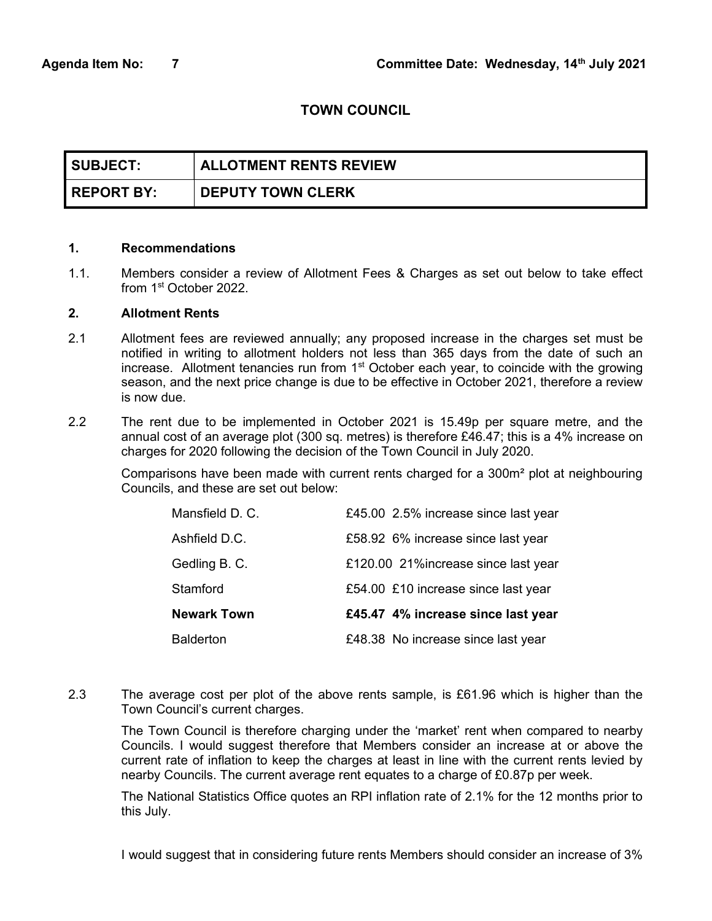### TOWN COUNCIL

| <b>SUBJECT:</b>   | <b>ALLOTMENT RENTS REVIEW</b> |
|-------------------|-------------------------------|
| <b>REPORT BY:</b> | <b>DEPUTY TOWN CLERK</b>      |

#### 1. Recommendations

1.1. Members consider a review of Allotment Fees & Charges as set out below to take effect from 1st October 2022.

#### 2. Allotment Rents

- 2.1 Allotment fees are reviewed annually; any proposed increase in the charges set must be notified in writing to allotment holders not less than 365 days from the date of such an increase. Allotment tenancies run from 1<sup>st</sup> October each year, to coincide with the growing season, and the next price change is due to be effective in October 2021, therefore a review is now due.
- 2.2 The rent due to be implemented in October 2021 is 15.49p per square metre, and the annual cost of an average plot (300 sq. metres) is therefore £46.47; this is a 4% increase on charges for 2020 following the decision of the Town Council in July 2020.

Comparisons have been made with current rents charged for a 300m² plot at neighbouring Councils, and these are set out below:

| <b>Balderton</b>   | £48.38 No increase since last year   |
|--------------------|--------------------------------------|
| <b>Newark Town</b> | £45.47 4% increase since last year   |
| Stamford           | £54.00 £10 increase since last year  |
| Gedling B. C.      | £120.00 21%increase since last year  |
| Ashfield D.C.      | £58.92 6% increase since last year   |
| Mansfield D. C.    | £45.00 2.5% increase since last year |

2.3 The average cost per plot of the above rents sample, is £61.96 which is higher than the Town Council's current charges.

The Town Council is therefore charging under the 'market' rent when compared to nearby Councils. I would suggest therefore that Members consider an increase at or above the current rate of inflation to keep the charges at least in line with the current rents levied by nearby Councils. The current average rent equates to a charge of £0.87p per week.

The National Statistics Office quotes an RPI inflation rate of 2.1% for the 12 months prior to this July.

I would suggest that in considering future rents Members should consider an increase of 3%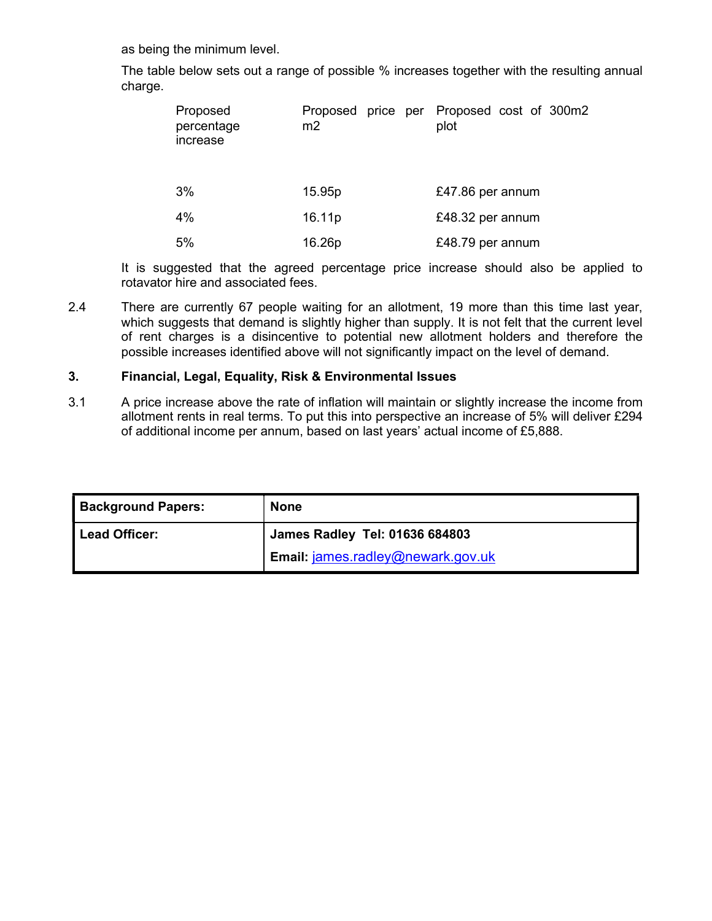as being the minimum level.

The table below sets out a range of possible % increases together with the resulting annual charge.

| Proposed<br>percentage<br>increase | m2                 | Proposed price per Proposed cost of 300m2<br>plot |
|------------------------------------|--------------------|---------------------------------------------------|
| 3%                                 | 15.95p             | £47.86 per annum                                  |
| 4%                                 | 16.11 <sub>p</sub> | £48.32 per annum                                  |
| 5%                                 | 16.26p             | £48.79 per annum                                  |

It is suggested that the agreed percentage price increase should also be applied to rotavator hire and associated fees.

2.4 There are currently 67 people waiting for an allotment, 19 more than this time last year, which suggests that demand is slightly higher than supply. It is not felt that the current level of rent charges is a disincentive to potential new allotment holders and therefore the possible increases identified above will not significantly impact on the level of demand.

### 3. Financial, Legal, Equality, Risk & Environmental Issues

3.1 A price increase above the rate of inflation will maintain or slightly increase the income from allotment rents in real terms. To put this into perspective an increase of 5% will deliver £294 of additional income per annum, based on last years' actual income of £5,888.

| <b>Background Papers:</b> | <b>None</b>                              |
|---------------------------|------------------------------------------|
| Lead Officer:             | <b>James Radley Tel: 01636 684803</b>    |
|                           | <b>Email: james.radley@newark.gov.uk</b> |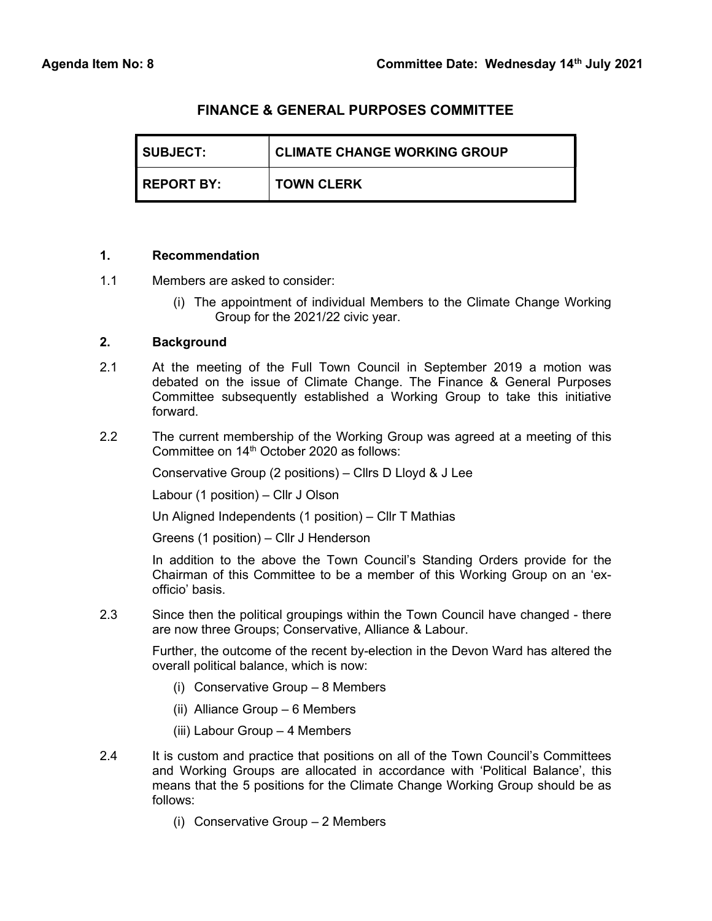| <b>I SUBJECT:</b>   | <b>CLIMATE CHANGE WORKING GROUP</b> |
|---------------------|-------------------------------------|
| <b>I REPORT BY:</b> | <b>TOWN CLERK</b>                   |

### 1. Recommendation

- 1.1 Members are asked to consider:
	- (i) The appointment of individual Members to the Climate Change Working Group for the 2021/22 civic year.

### 2. Background

- 2.1 At the meeting of the Full Town Council in September 2019 a motion was debated on the issue of Climate Change. The Finance & General Purposes Committee subsequently established a Working Group to take this initiative forward.
- 2.2 The current membership of the Working Group was agreed at a meeting of this Committee on 14<sup>th</sup> October 2020 as follows:

Conservative Group (2 positions) – Cllrs D Lloyd & J Lee

Labour (1 position) – Cllr J Olson

Un Aligned Independents (1 position) – Cllr T Mathias

Greens (1 position) – Cllr J Henderson

In addition to the above the Town Council's Standing Orders provide for the Chairman of this Committee to be a member of this Working Group on an 'exofficio' basis.

2.3 Since then the political groupings within the Town Council have changed - there are now three Groups; Conservative, Alliance & Labour.

Further, the outcome of the recent by-election in the Devon Ward has altered the overall political balance, which is now:

- (i) Conservative Group 8 Members
- (ii) Alliance Group 6 Members
- (iii) Labour Group 4 Members
- 2.4 It is custom and practice that positions on all of the Town Council's Committees and Working Groups are allocated in accordance with 'Political Balance', this means that the 5 positions for the Climate Change Working Group should be as follows:
	- (i) Conservative Group 2 Members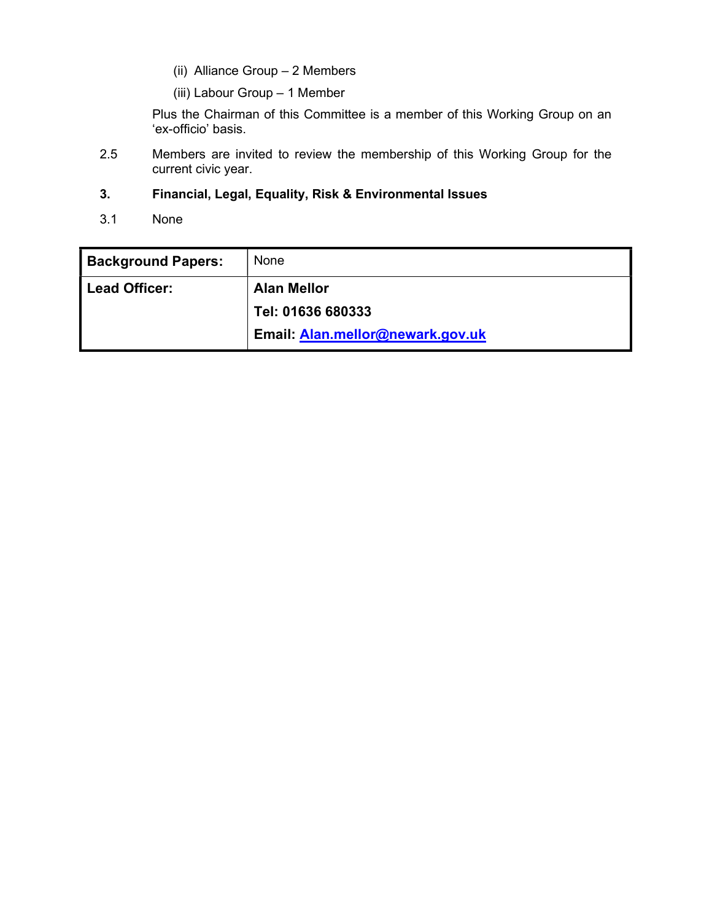- (ii) Alliance Group 2 Members
- (iii) Labour Group 1 Member

Plus the Chairman of this Committee is a member of this Working Group on an 'ex-officio' basis.

2.5 Members are invited to review the membership of this Working Group for the current civic year.

### 3. Financial, Legal, Equality, Risk & Environmental Issues

3.1 None

| <b>Background Papers:</b> | None                             |
|---------------------------|----------------------------------|
| <b>Lead Officer:</b>      | <b>Alan Mellor</b>               |
|                           | Tel: 01636 680333                |
|                           | Email: Alan.mellor@newark.gov.uk |